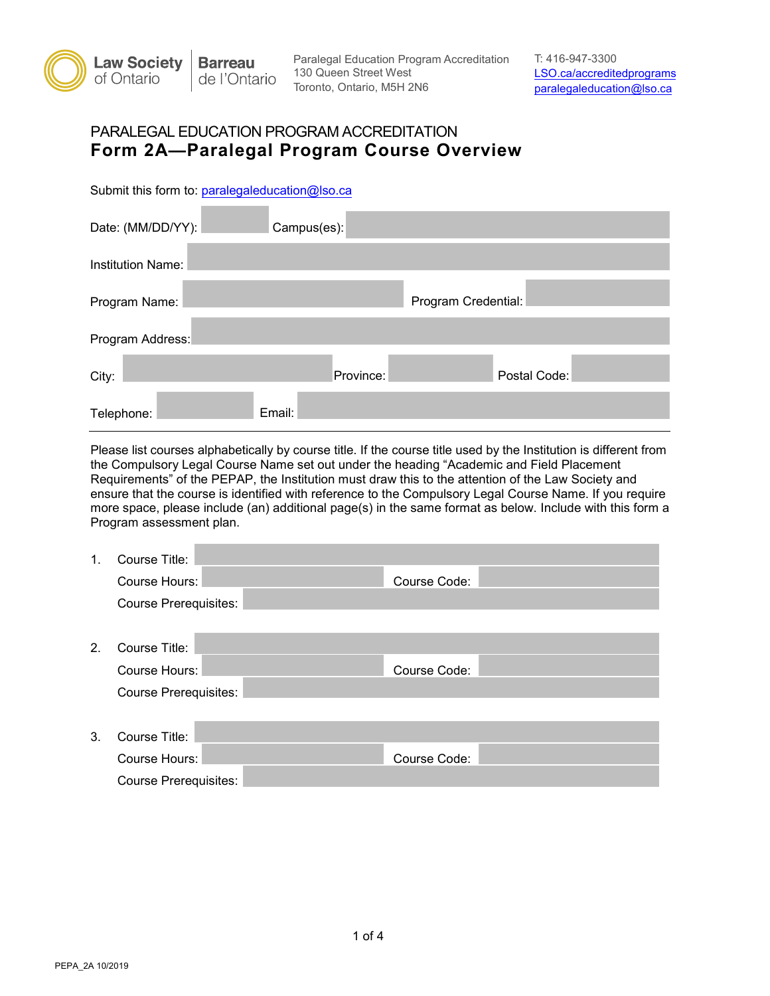

## PARALEGAL EDUCATION PROGRAM ACCREDITATION **Form 2A—Paralegal Program Course Overview**

Submit this form to: paralegaleducation@lso.ca

| Date: (MM/DD/YY):        | Campus(es): |           |                     |              |
|--------------------------|-------------|-----------|---------------------|--------------|
| <b>Institution Name:</b> |             |           |                     |              |
| Program Name:            |             |           | Program Credential: |              |
| Program Address:         |             |           |                     |              |
| City:                    |             | Province: |                     | Postal Code: |
| Telephone:               | Email:      |           |                     |              |

Please list courses alphabetically by course title. If the course title used by the Institution is different from the Compulsory Legal Course Name set out under the heading "Academic and Field Placement Requirements" of the PEPAP, the Institution must draw this to the attention of the Law Society and ensure that the course is identified with reference to the Compulsory Legal Course Name. If you require more space, please include (an) additional page(s) in the same format as below. Include with this form a Program assessment plan.

| 1. | Course Title:                |              |  |  |
|----|------------------------------|--------------|--|--|
|    | Course Hours:                | Course Code: |  |  |
|    | <b>Course Prerequisites:</b> |              |  |  |
|    |                              |              |  |  |
| 2. | Course Title:                |              |  |  |
|    | Course Hours:                | Course Code: |  |  |
|    | <b>Course Prerequisites:</b> |              |  |  |
|    |                              |              |  |  |
| 3. | Course Title:                |              |  |  |
|    | Course Hours:                | Course Code: |  |  |
|    | <b>Course Prerequisites:</b> |              |  |  |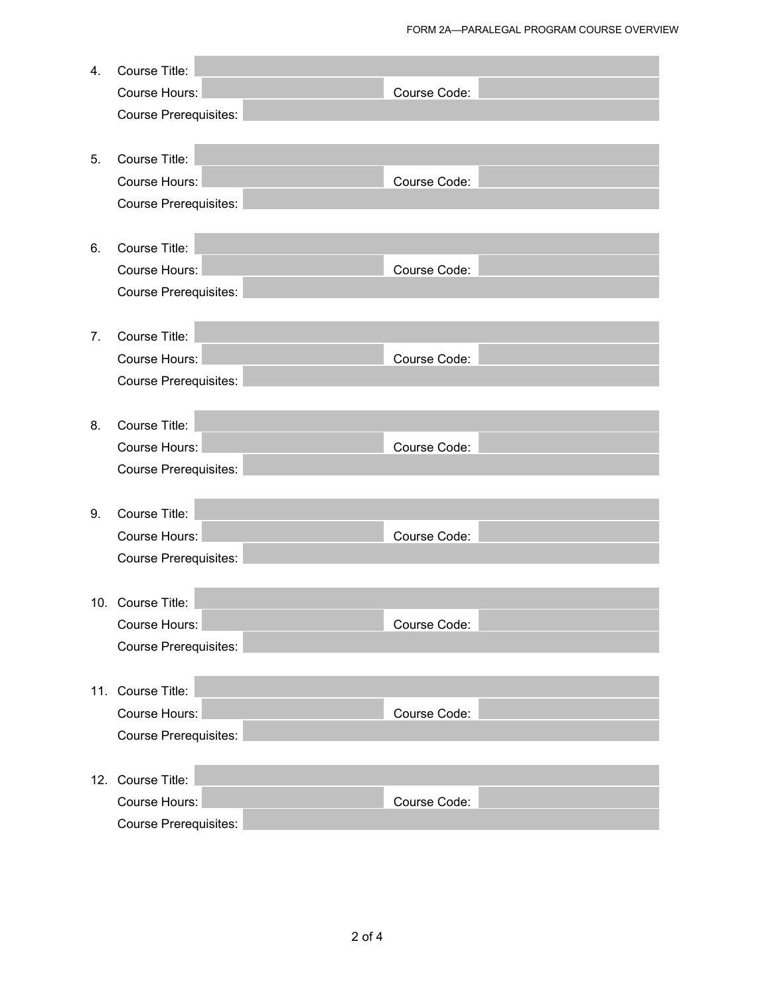| 4. | Course Title:                |              |
|----|------------------------------|--------------|
|    | Course Hours:                | Course Code: |
|    | <b>Course Prerequisites:</b> |              |
|    |                              |              |
| 5. | Course Title:                |              |
|    | Course Hours:                | Course Code: |
|    | <b>Course Prerequisites:</b> |              |
|    |                              |              |
| 6. | Course Title:                |              |
|    | Course Hours:                | Course Code: |
|    | <b>Course Prerequisites:</b> |              |
|    |                              |              |
| 7. | Course Title:                |              |
|    | Course Hours:                | Course Code: |
|    | <b>Course Prerequisites:</b> |              |
|    |                              |              |
| 8. | Course Title:                |              |
|    | Course Hours:                | Course Code: |
|    | <b>Course Prerequisites:</b> |              |
|    |                              |              |
| 9. | Course Title:                |              |
|    | Course Hours:                | Course Code: |
|    | <b>Course Prerequisites:</b> |              |
|    |                              |              |
|    | 10. Course Title:            |              |
|    | Course Hours:                | Course Code: |
|    | <b>Course Prerequisites:</b> |              |
|    |                              |              |
|    | 11. Course Title:            |              |
|    | Course Hours:                | Course Code: |
|    | <b>Course Prerequisites:</b> |              |
|    |                              |              |
|    | 12. Course Title:            |              |
|    | <b>Course Hours:</b>         | Course Code: |
|    | <b>Course Prerequisites:</b> |              |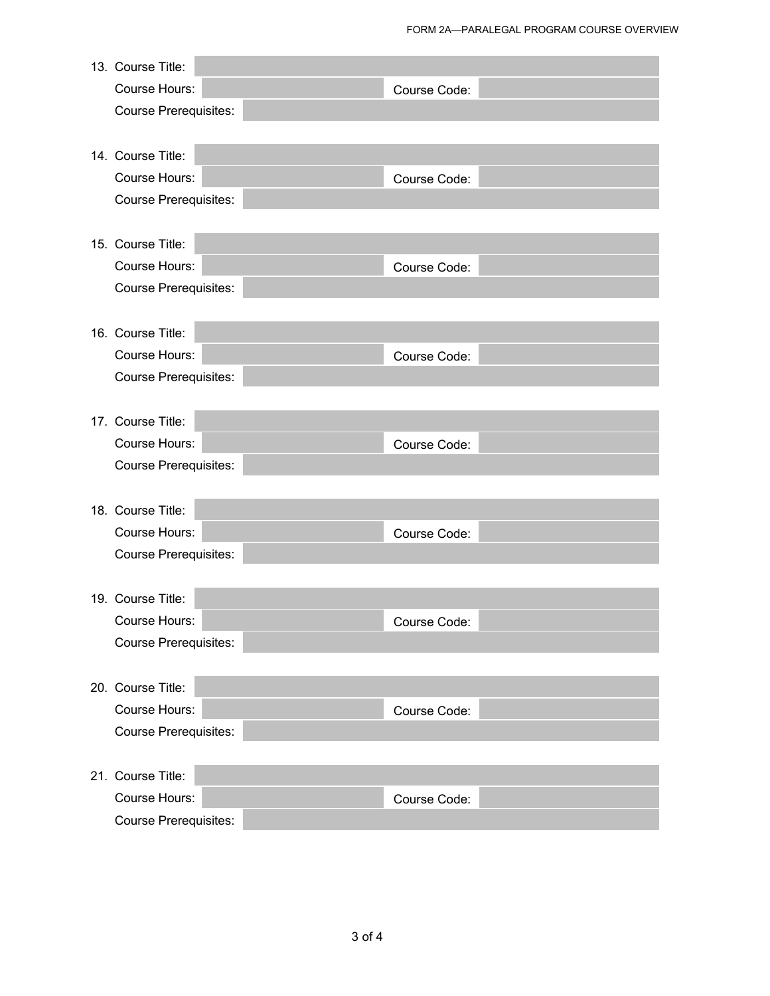| 13. Course Title:            |              |  |
|------------------------------|--------------|--|
| Course Hours:                | Course Code: |  |
| <b>Course Prerequisites:</b> |              |  |
|                              |              |  |
| 14. Course Title:            |              |  |
| Course Hours:                | Course Code: |  |
| <b>Course Prerequisites:</b> |              |  |
|                              |              |  |
| 15. Course Title:            |              |  |
| Course Hours:                | Course Code: |  |
| <b>Course Prerequisites:</b> |              |  |
|                              |              |  |
| 16. Course Title:            |              |  |
| Course Hours:                | Course Code: |  |
| <b>Course Prerequisites:</b> |              |  |
|                              |              |  |
| 17. Course Title:            |              |  |
| Course Hours:                | Course Code: |  |
| <b>Course Prerequisites:</b> |              |  |
|                              |              |  |
| 18. Course Title:            |              |  |
| Course Hours:                | Course Code: |  |
| <b>Course Prerequisites:</b> |              |  |
|                              |              |  |
| 19. Course Title:            |              |  |
| Course Hours:                | Course Code: |  |
| <b>Course Prerequisites:</b> |              |  |
|                              |              |  |
| 20. Course Title:            |              |  |
| Course Hours:                | Course Code: |  |
| <b>Course Prerequisites:</b> |              |  |
|                              |              |  |
| 21. Course Title:            |              |  |
| Course Hours:                | Course Code: |  |
| <b>Course Prerequisites:</b> |              |  |
|                              |              |  |